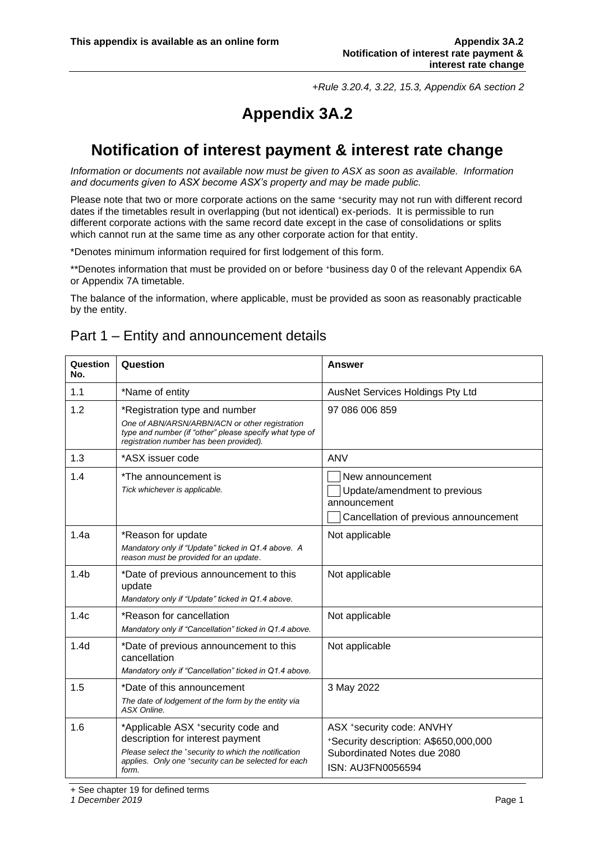*+Rule 3.20.4, 3.22, 15.3, Appendix 6A section 2*

# **Appendix 3A.2**

# **Notification of interest payment & interest rate change**

*Information or documents not available now must be given to ASX as soon as available. Information and documents given to ASX become ASX's property and may be made public.*

Please note that two or more corporate actions on the same +security may not run with different record dates if the timetables result in overlapping (but not identical) ex-periods. It is permissible to run different corporate actions with the same record date except in the case of consolidations or splits which cannot run at the same time as any other corporate action for that entity.

\*Denotes minimum information required for first lodgement of this form.

\*\*Denotes information that must be provided on or before <sup>+</sup>business day 0 of the relevant Appendix 6A or Appendix 7A timetable.

The balance of the information, where applicable, must be provided as soon as reasonably practicable by the entity.

### Part 1 – Entity and announcement details

| Question<br>No.  | Question                                                                                                                                                                                         | <b>Answer</b>                                                                                                          |
|------------------|--------------------------------------------------------------------------------------------------------------------------------------------------------------------------------------------------|------------------------------------------------------------------------------------------------------------------------|
| 1.1              | *Name of entity                                                                                                                                                                                  | AusNet Services Holdings Pty Ltd                                                                                       |
| 1.2              | *Registration type and number<br>One of ABN/ARSN/ARBN/ACN or other registration<br>type and number (if "other" please specify what type of<br>registration number has been provided).            | 97 086 006 859                                                                                                         |
| 1.3              | *ASX issuer code                                                                                                                                                                                 | <b>ANV</b>                                                                                                             |
| 1.4              | *The announcement is<br>Tick whichever is applicable.                                                                                                                                            | New announcement<br>Update/amendment to previous<br>announcement<br>Cancellation of previous announcement              |
| 1.4a             | *Reason for update<br>Mandatory only if "Update" ticked in Q1.4 above. A<br>reason must be provided for an update.                                                                               | Not applicable                                                                                                         |
| 1.4 <sub>b</sub> | *Date of previous announcement to this<br>update<br>Mandatory only if "Update" ticked in Q1.4 above.                                                                                             | Not applicable                                                                                                         |
| 1.4c             | *Reason for cancellation<br>Mandatory only if "Cancellation" ticked in Q1.4 above.                                                                                                               | Not applicable                                                                                                         |
| 1.4 <sub>d</sub> | *Date of previous announcement to this<br>cancellation<br>Mandatory only if "Cancellation" ticked in Q1.4 above.                                                                                 | Not applicable                                                                                                         |
| 1.5              | *Date of this announcement<br>The date of lodgement of the form by the entity via<br>ASX Online.                                                                                                 | 3 May 2022                                                                                                             |
| 1.6              | *Applicable ASX +security code and<br>description for interest payment<br>Please select the *security to which the notification<br>applies. Only one +security can be selected for each<br>form. | ASX *security code: ANVHY<br>*Security description: A\$650,000,000<br>Subordinated Notes due 2080<br>ISN: AU3FN0056594 |

+ See chapter 19 for defined terms

*1 December 2019* Page 1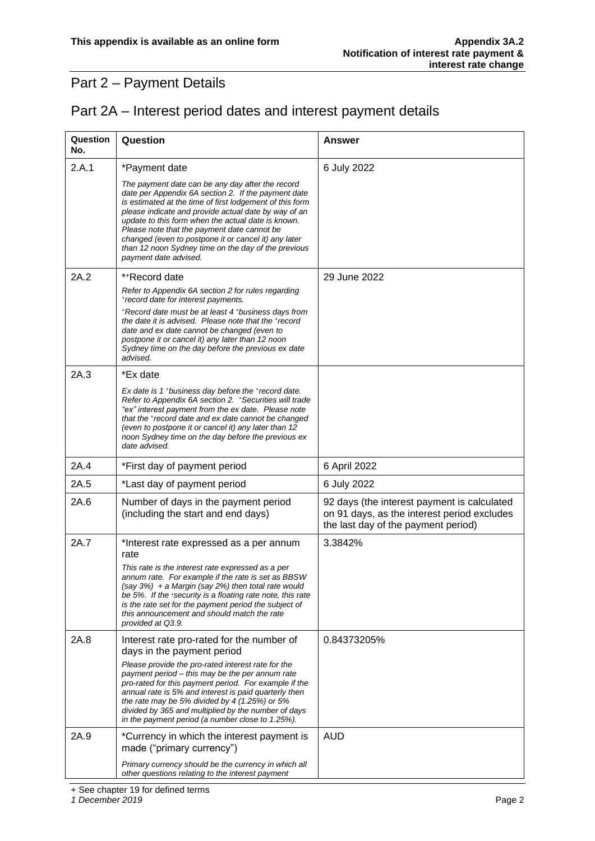## Part 2 – Payment Details

|  |  |  |  | Part 2A - Interest period dates and interest payment details |
|--|--|--|--|--------------------------------------------------------------|
|--|--|--|--|--------------------------------------------------------------|

| Question<br>No. | Question                                                                                                                                                                                                                                                                                                                                                                                                                                                                 | <b>Answer</b>                                                                                                                     |
|-----------------|--------------------------------------------------------------------------------------------------------------------------------------------------------------------------------------------------------------------------------------------------------------------------------------------------------------------------------------------------------------------------------------------------------------------------------------------------------------------------|-----------------------------------------------------------------------------------------------------------------------------------|
| 2.A.1           | *Payment date                                                                                                                                                                                                                                                                                                                                                                                                                                                            | 6 July 2022                                                                                                                       |
|                 | The payment date can be any day after the record<br>date per Appendix 6A section 2. If the payment date<br>is estimated at the time of first lodgement of this form<br>please indicate and provide actual date by way of an<br>update to this form when the actual date is known.<br>Please note that the payment date cannot be<br>changed (even to postpone it or cancel it) any later<br>than 12 noon Sydney time on the day of the previous<br>payment date advised. |                                                                                                                                   |
| 2A.2            | *+Record date                                                                                                                                                                                                                                                                                                                                                                                                                                                            | 29 June 2022                                                                                                                      |
|                 | Refer to Appendix 6A section 2 for rules regarding<br>*record date for interest payments.                                                                                                                                                                                                                                                                                                                                                                                |                                                                                                                                   |
|                 | *Record date must be at least 4 *business days from<br>the date it is advised. Please note that the + record<br>date and ex date cannot be changed (even to<br>postpone it or cancel it) any later than 12 noon<br>Sydney time on the day before the previous ex date<br>advised.                                                                                                                                                                                        |                                                                                                                                   |
| 2A.3            | *Ex date                                                                                                                                                                                                                                                                                                                                                                                                                                                                 |                                                                                                                                   |
|                 | Ex date is 1 *business day before the *record date.<br>Refer to Appendix 6A section 2. +Securities will trade<br>"ex" interest payment from the ex date. Please note<br>that the *record date and ex date cannot be changed<br>(even to postpone it or cancel it) any later than 12<br>noon Sydney time on the day before the previous ex<br>date advised.                                                                                                               |                                                                                                                                   |
| 2A.4            | *First day of payment period                                                                                                                                                                                                                                                                                                                                                                                                                                             | 6 April 2022                                                                                                                      |
| 2A.5            | *Last day of payment period                                                                                                                                                                                                                                                                                                                                                                                                                                              | 6 July 2022                                                                                                                       |
| 2A.6            | Number of days in the payment period<br>(including the start and end days)                                                                                                                                                                                                                                                                                                                                                                                               | 92 days (the interest payment is calculated<br>on 91 days, as the interest period excludes<br>the last day of the payment period) |
| 2A.7            | *Interest rate expressed as a per annum<br>rate<br>This rate is the interest rate expressed as a per<br>annum rate. For example if the rate is set as BBSW<br>$(say 3%) + a Margin (say 2%) then total rate would$<br>be 5%. If the *security is a floating rate note, this rate<br>is the rate set for the payment period the subject of<br>this announcement and should match the rate<br>provided at Q3.9.                                                            | 3.3842%                                                                                                                           |
| 2A.8            | Interest rate pro-rated for the number of<br>days in the payment period<br>Please provide the pro-rated interest rate for the<br>payment period - this may be the per annum rate<br>pro-rated for this payment period. For example if the<br>annual rate is 5% and interest is paid quarterly then<br>the rate may be 5% divided by 4 $(1.25%)$ or 5%<br>divided by 365 and multiplied by the number of days<br>in the payment period (a number close to 1.25%).         | 0.84373205%                                                                                                                       |
| 2A.9            | *Currency in which the interest payment is<br>made ("primary currency")                                                                                                                                                                                                                                                                                                                                                                                                  | <b>AUD</b>                                                                                                                        |
|                 | Primary currency should be the currency in which all<br>other questions relating to the interest payment                                                                                                                                                                                                                                                                                                                                                                 |                                                                                                                                   |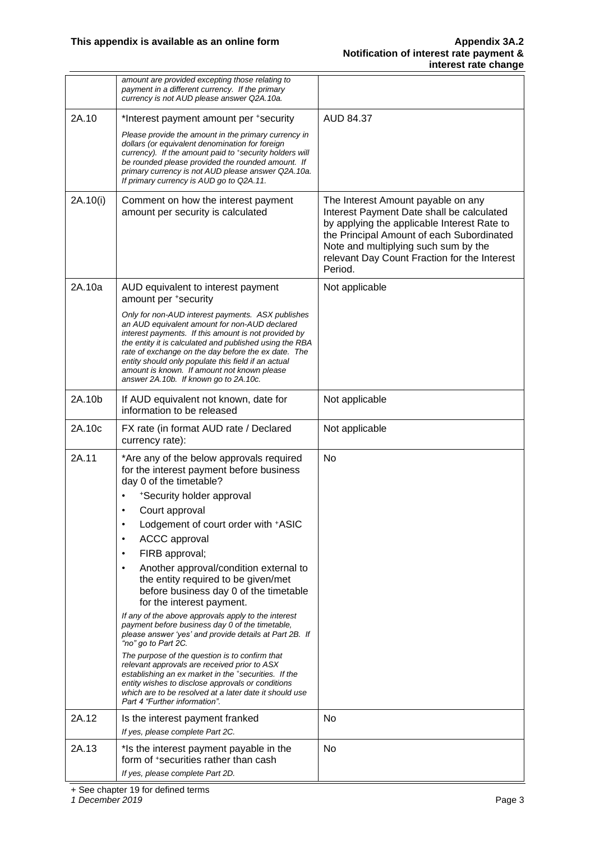|          | amount are provided excepting those relating to<br>payment in a different currency. If the primary<br>currency is not AUD please answer Q2A.10a.                                                                                                                                                                                                                                                                            |                                                                                                                                                                                                                                                                                |
|----------|-----------------------------------------------------------------------------------------------------------------------------------------------------------------------------------------------------------------------------------------------------------------------------------------------------------------------------------------------------------------------------------------------------------------------------|--------------------------------------------------------------------------------------------------------------------------------------------------------------------------------------------------------------------------------------------------------------------------------|
| 2A.10    | *Interest payment amount per +security                                                                                                                                                                                                                                                                                                                                                                                      | AUD 84.37                                                                                                                                                                                                                                                                      |
|          | Please provide the amount in the primary currency in<br>dollars (or equivalent denomination for foreign<br>currency). If the amount paid to *security holders will<br>be rounded please provided the rounded amount. If<br>primary currency is not AUD please answer Q2A.10a.<br>If primary currency is AUD go to Q2A.11.                                                                                                   |                                                                                                                                                                                                                                                                                |
| 2A.10(i) | Comment on how the interest payment<br>amount per security is calculated                                                                                                                                                                                                                                                                                                                                                    | The Interest Amount payable on any<br>Interest Payment Date shall be calculated<br>by applying the applicable Interest Rate to<br>the Principal Amount of each Subordinated<br>Note and multiplying such sum by the<br>relevant Day Count Fraction for the Interest<br>Period. |
| 2A.10a   | AUD equivalent to interest payment<br>amount per +security                                                                                                                                                                                                                                                                                                                                                                  | Not applicable                                                                                                                                                                                                                                                                 |
|          | Only for non-AUD interest payments. ASX publishes<br>an AUD equivalent amount for non-AUD declared<br>interest payments. If this amount is not provided by<br>the entity it is calculated and published using the RBA<br>rate of exchange on the day before the ex date. The<br>entity should only populate this field if an actual<br>amount is known. If amount not known please<br>answer 2A.10b. If known go to 2A.10c. |                                                                                                                                                                                                                                                                                |
| 2A.10b   | If AUD equivalent not known, date for<br>information to be released                                                                                                                                                                                                                                                                                                                                                         | Not applicable                                                                                                                                                                                                                                                                 |
| 2A.10c   | FX rate (in format AUD rate / Declared<br>currency rate):                                                                                                                                                                                                                                                                                                                                                                   | Not applicable                                                                                                                                                                                                                                                                 |
| 2A.11    | *Are any of the below approvals required<br>for the interest payment before business<br>day 0 of the timetable?                                                                                                                                                                                                                                                                                                             | No                                                                                                                                                                                                                                                                             |
|          | *Security holder approval<br>Court approval                                                                                                                                                                                                                                                                                                                                                                                 |                                                                                                                                                                                                                                                                                |
|          | Lodgement of court order with +ASIC                                                                                                                                                                                                                                                                                                                                                                                         |                                                                                                                                                                                                                                                                                |
|          | <b>ACCC</b> approval<br>$\bullet$                                                                                                                                                                                                                                                                                                                                                                                           |                                                                                                                                                                                                                                                                                |
|          | FIRB approval;<br>$\bullet$                                                                                                                                                                                                                                                                                                                                                                                                 |                                                                                                                                                                                                                                                                                |
|          | Another approval/condition external to<br>$\bullet$<br>the entity required to be given/met<br>before business day 0 of the timetable<br>for the interest payment.                                                                                                                                                                                                                                                           |                                                                                                                                                                                                                                                                                |
|          | If any of the above approvals apply to the interest<br>payment before business day 0 of the timetable,<br>please answer 'yes' and provide details at Part 2B. If<br>"no" go to Part 2C.                                                                                                                                                                                                                                     |                                                                                                                                                                                                                                                                                |
|          | The purpose of the question is to confirm that<br>relevant approvals are received prior to ASX<br>establishing an ex market in the *securities. If the<br>entity wishes to disclose approvals or conditions<br>which are to be resolved at a later date it should use<br>Part 4 "Further information".                                                                                                                      |                                                                                                                                                                                                                                                                                |
| 2A.12    | Is the interest payment franked                                                                                                                                                                                                                                                                                                                                                                                             | No                                                                                                                                                                                                                                                                             |
|          | If yes, please complete Part 2C.                                                                                                                                                                                                                                                                                                                                                                                            |                                                                                                                                                                                                                                                                                |
| 2A.13    | *Is the interest payment payable in the<br>form of *securities rather than cash<br>If yes, please complete Part 2D.                                                                                                                                                                                                                                                                                                         | No                                                                                                                                                                                                                                                                             |
|          |                                                                                                                                                                                                                                                                                                                                                                                                                             |                                                                                                                                                                                                                                                                                |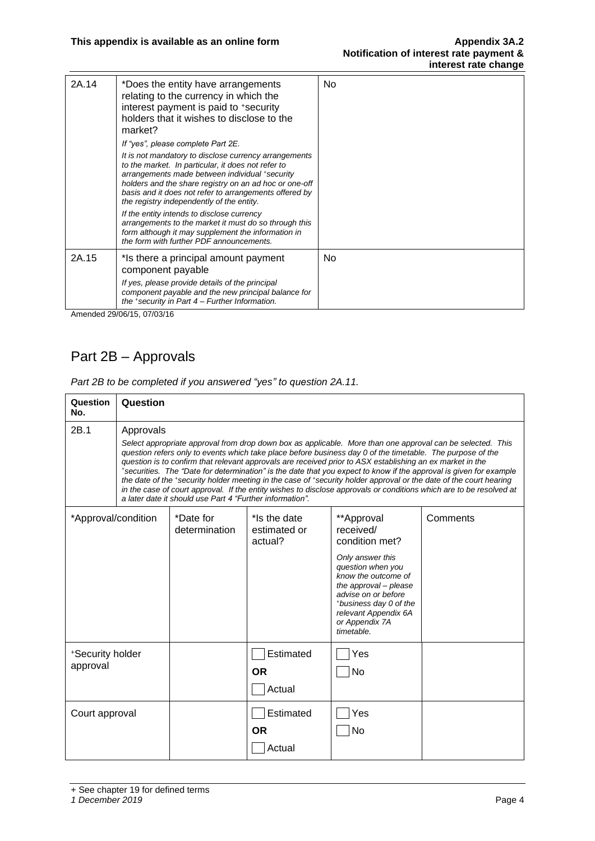| 2A.14 | *Does the entity have arrangements<br>relating to the currency in which the<br>interest payment is paid to +security<br>holders that it wishes to disclose to the<br>market?                                                                                          | No  |
|-------|-----------------------------------------------------------------------------------------------------------------------------------------------------------------------------------------------------------------------------------------------------------------------|-----|
|       | If "yes", please complete Part 2E.<br>It is not mandatory to disclose currency arrangements                                                                                                                                                                           |     |
|       | to the market. In particular, it does not refer to<br>arrangements made between individual +security<br>holders and the share registry on an ad hoc or one-off<br>basis and it does not refer to arrangements offered by<br>the registry independently of the entity. |     |
|       | If the entity intends to disclose currency<br>arrangements to the market it must do so through this<br>form although it may supplement the information in<br>the form with further PDF announcements.                                                                 |     |
| 2A.15 | *Is there a principal amount payment<br>component payable                                                                                                                                                                                                             | No. |
|       | If yes, please provide details of the principal<br>component payable and the new principal balance for<br>the *security in Part $4$ – Further Information.                                                                                                            |     |

Amended 29/06/15, 07/03/16

## Part 2B – Approvals

| Question<br>No.              | Question                                                                                                                                                                                                                                                                                                                                                                                                                                                                                                                                                                                                                                                                                                                                                                          |                            |                                         |                                                                                                                                                                                                                                             |          |
|------------------------------|-----------------------------------------------------------------------------------------------------------------------------------------------------------------------------------------------------------------------------------------------------------------------------------------------------------------------------------------------------------------------------------------------------------------------------------------------------------------------------------------------------------------------------------------------------------------------------------------------------------------------------------------------------------------------------------------------------------------------------------------------------------------------------------|----------------------------|-----------------------------------------|---------------------------------------------------------------------------------------------------------------------------------------------------------------------------------------------------------------------------------------------|----------|
| 2B.1                         | Approvals<br>Select appropriate approval from drop down box as applicable. More than one approval can be selected. This<br>question refers only to events which take place before business day 0 of the timetable. The purpose of the<br>question is to confirm that relevant approvals are received prior to ASX establishing an ex market in the<br>*securities. The "Date for determination" is the date that you expect to know if the approval is given for example<br>the date of the *security holder meeting in the case of *security holder approval or the date of the court hearing<br>in the case of court approval. If the entity wishes to disclose approvals or conditions which are to be resolved at<br>a later date it should use Part 4 "Further information". |                            |                                         |                                                                                                                                                                                                                                             |          |
| *Approval/condition          |                                                                                                                                                                                                                                                                                                                                                                                                                                                                                                                                                                                                                                                                                                                                                                                   | *Date for<br>determination | *Is the date<br>estimated or<br>actual? | **Approval<br>received/<br>condition met?<br>Only answer this<br>question when you<br>know the outcome of<br>the approval - please<br>advise on or before<br>*business day 0 of the<br>relevant Appendix 6A<br>or Appendix 7A<br>timetable. | Comments |
| *Security holder<br>approval |                                                                                                                                                                                                                                                                                                                                                                                                                                                                                                                                                                                                                                                                                                                                                                                   |                            | Estimated<br><b>OR</b><br>Actual        | Yes<br><b>No</b>                                                                                                                                                                                                                            |          |
| Court approval               |                                                                                                                                                                                                                                                                                                                                                                                                                                                                                                                                                                                                                                                                                                                                                                                   |                            | Estimated<br><b>OR</b><br>Actual        | Yes<br>No                                                                                                                                                                                                                                   |          |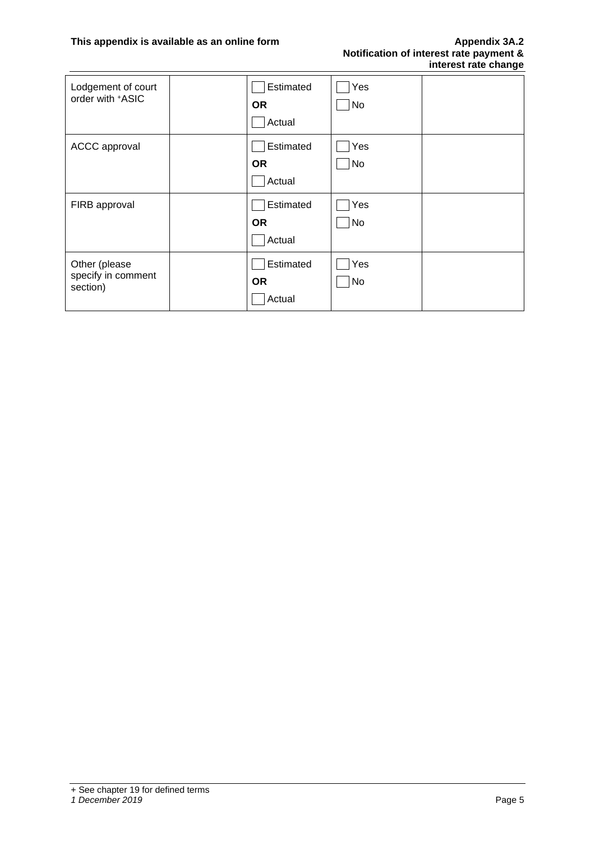| Lodgement of court<br>order with +ASIC          | Estimated<br><b>OR</b><br>Actual | Yes<br>No        |  |
|-------------------------------------------------|----------------------------------|------------------|--|
| ACCC approval                                   | Estimated<br><b>OR</b><br>Actual | Yes<br>No        |  |
| FIRB approval                                   | Estimated<br><b>OR</b><br>Actual | Yes<br>No        |  |
| Other (please<br>specify in comment<br>section) | Estimated<br><b>OR</b><br>Actual | Yes<br><b>No</b> |  |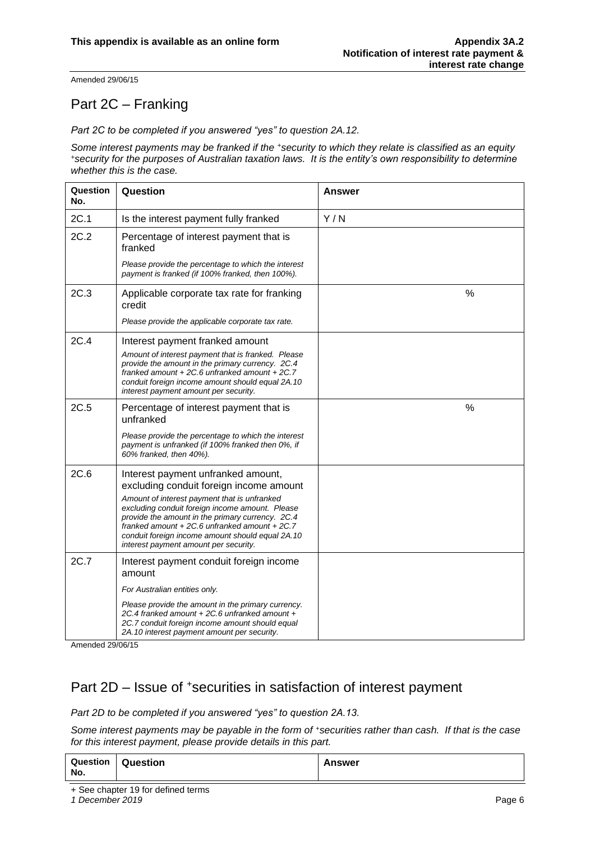Amended 29/06/15

### Part 2C – Franking

*Part 2C to be completed if you answered "yes" to question 2A.12.*

*Some interest payments may be franked if the <sup>+</sup>security to which they relate is classified as an equity <sup>+</sup>security for the purposes of Australian taxation laws. It is the entity's own responsibility to determine whether this is the case.*

| Question<br>No. | Question                                                                                                                                                                                                                                                                                                                                                                             | Answer        |
|-----------------|--------------------------------------------------------------------------------------------------------------------------------------------------------------------------------------------------------------------------------------------------------------------------------------------------------------------------------------------------------------------------------------|---------------|
| 2C.1            | Is the interest payment fully franked                                                                                                                                                                                                                                                                                                                                                | Y/N           |
| 2C.2            | Percentage of interest payment that is<br>franked                                                                                                                                                                                                                                                                                                                                    |               |
|                 | Please provide the percentage to which the interest<br>payment is franked (if 100% franked, then 100%).                                                                                                                                                                                                                                                                              |               |
| 2C.3            | Applicable corporate tax rate for franking<br>credit                                                                                                                                                                                                                                                                                                                                 | %             |
|                 | Please provide the applicable corporate tax rate.                                                                                                                                                                                                                                                                                                                                    |               |
| 2C.4            | Interest payment franked amount<br>Amount of interest payment that is franked. Please<br>provide the amount in the primary currency. 2C.4<br>franked amount $+2C.6$ unfranked amount $+2C.7$<br>conduit foreign income amount should equal 2A.10<br>interest payment amount per security.                                                                                            |               |
| 2C.5            | Percentage of interest payment that is<br>unfranked                                                                                                                                                                                                                                                                                                                                  | $\frac{0}{0}$ |
|                 | Please provide the percentage to which the interest<br>payment is unfranked (if 100% franked then 0%, if<br>60% franked, then 40%).                                                                                                                                                                                                                                                  |               |
| 2C.6            | Interest payment unfranked amount,<br>excluding conduit foreign income amount<br>Amount of interest payment that is unfranked<br>excluding conduit foreign income amount. Please<br>provide the amount in the primary currency. 2C.4<br>franked amount $+2C.6$ unfranked amount $+2C.7$<br>conduit foreign income amount should equal 2A.10<br>interest payment amount per security. |               |
| 2C.7            | Interest payment conduit foreign income<br>amount                                                                                                                                                                                                                                                                                                                                    |               |
|                 | For Australian entities only.                                                                                                                                                                                                                                                                                                                                                        |               |
|                 | Please provide the amount in the primary currency.<br>2C.4 franked amount + 2C.6 unfranked amount +<br>2C.7 conduit foreign income amount should equal<br>2A.10 interest payment amount per security.                                                                                                                                                                                |               |

Amended 29/06/15

#### Part 2D – Issue of <sup>+</sup>securities in satisfaction of interest payment

*Part 2D to be completed if you answered "yes" to question 2A.13.*

*Some interest payments may be payable in the form of <sup>+</sup>securities rather than cash. If that is the case for this interest payment, please provide details in this part.*

| Question<br>No. | Question | <b>Answer</b> |
|-----------------|----------|---------------|
|-----------------|----------|---------------|

+ See chapter 19 for defined terms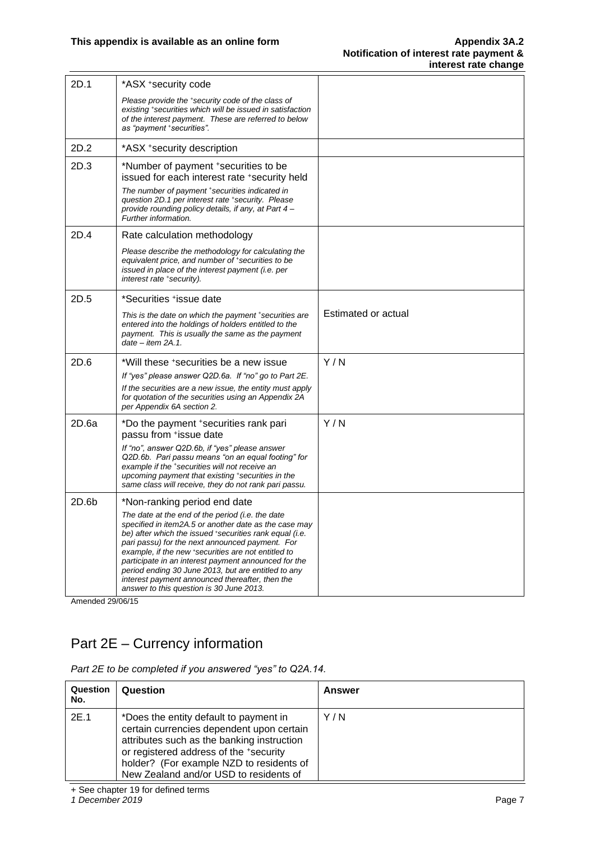| 2D.1  | *ASX +security code                                                                                                                                                                                                                                                                                                                                                                                                                                                                         |                     |
|-------|---------------------------------------------------------------------------------------------------------------------------------------------------------------------------------------------------------------------------------------------------------------------------------------------------------------------------------------------------------------------------------------------------------------------------------------------------------------------------------------------|---------------------|
|       | Please provide the *security code of the class of<br>existing *securities which will be issued in satisfaction<br>of the interest payment. These are referred to below<br>as "payment *securities".                                                                                                                                                                                                                                                                                         |                     |
| 2D.2  | *ASX +security description                                                                                                                                                                                                                                                                                                                                                                                                                                                                  |                     |
| 2D.3  | *Number of payment +securities to be<br>issued for each interest rate +security held<br>The number of payment *securities indicated in<br>question 2D.1 per interest rate *security. Please<br>provide rounding policy details, if any, at Part 4-<br>Further information.                                                                                                                                                                                                                  |                     |
| 2D.4  | Rate calculation methodology                                                                                                                                                                                                                                                                                                                                                                                                                                                                |                     |
|       | Please describe the methodology for calculating the<br>equivalent price, and number of +securities to be<br>issued in place of the interest payment (i.e. per<br>interest rate *security).                                                                                                                                                                                                                                                                                                  |                     |
| 2D.5  | *Securities +issue date                                                                                                                                                                                                                                                                                                                                                                                                                                                                     |                     |
|       | This is the date on which the payment *securities are<br>entered into the holdings of holders entitled to the<br>payment. This is usually the same as the payment<br>$date - item 2A.1.$                                                                                                                                                                                                                                                                                                    | Estimated or actual |
| 2D.6  | *Will these +securities be a new issue                                                                                                                                                                                                                                                                                                                                                                                                                                                      | Y/N                 |
|       | If "yes" please answer Q2D.6a. If "no" go to Part 2E.<br>If the securities are a new issue, the entity must apply<br>for quotation of the securities using an Appendix 2A<br>per Appendix 6A section 2.                                                                                                                                                                                                                                                                                     |                     |
| 2D.6a | *Do the payment +securities rank pari<br>passu from +issue date<br>If "no", answer Q2D.6b, if "yes" please answer<br>Q2D.6b. Pari passu means "on an equal footing" for<br>example if the *securities will not receive an<br>upcoming payment that existing *securities in the<br>same class will receive, they do not rank pari passu.                                                                                                                                                     | Y/N                 |
| 2D.6b | *Non-ranking period end date                                                                                                                                                                                                                                                                                                                                                                                                                                                                |                     |
|       | The date at the end of the period (i.e. the date<br>specified in item2A.5 or another date as the case may<br>be) after which the issued securities rank equal (i.e.<br>pari passu) for the next announced payment. For<br>example, if the new *securities are not entitled to<br>participate in an interest payment announced for the<br>period ending 30 June 2013, but are entitled to any<br>interest payment announced thereafter, then the<br>answer to this question is 30 June 2013. |                     |

Amended 29/06/15

# Part 2E – Currency information

| Part 2E to be completed if you answered "yes" to Q2A.14. |  |  |  |  |  |
|----------------------------------------------------------|--|--|--|--|--|
|----------------------------------------------------------|--|--|--|--|--|

| Question<br>No. | Question                                                                                                                                                                                                                                                          | Answer |
|-----------------|-------------------------------------------------------------------------------------------------------------------------------------------------------------------------------------------------------------------------------------------------------------------|--------|
| 2E.1            | *Does the entity default to payment in<br>certain currencies dependent upon certain<br>attributes such as the banking instruction<br>or registered address of the +security<br>holder? (For example NZD to residents of<br>New Zealand and/or USD to residents of | Y / N  |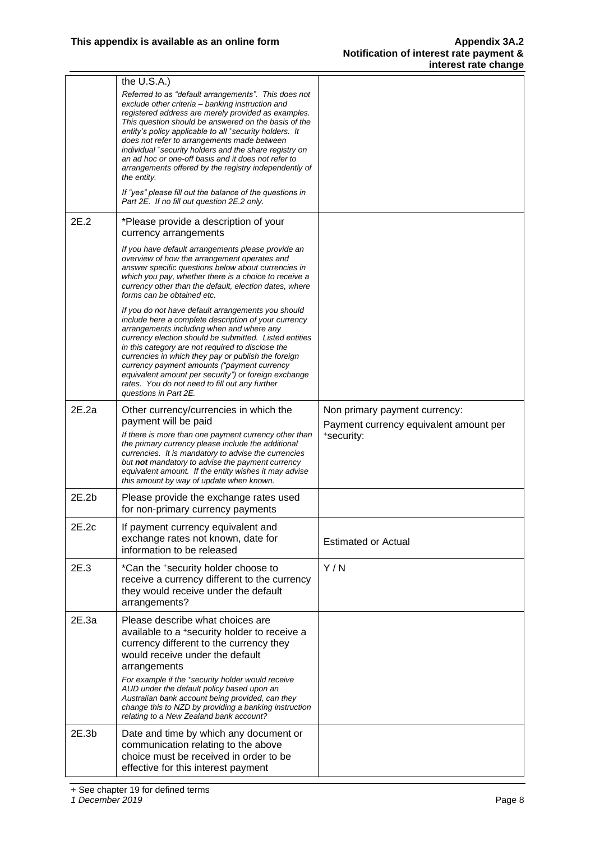|       | the $U.S.A.$ )<br>Referred to as "default arrangements". This does not<br>exclude other criteria - banking instruction and<br>registered address are merely provided as examples.<br>This question should be answered on the basis of the<br>entity's policy applicable to all *security holders. It<br>does not refer to arrangements made between<br>individual *security holders and the share registry on<br>an ad hoc or one-off basis and it does not refer to<br>arrangements offered by the registry independently of<br>the entity.<br>If "yes" please fill out the balance of the questions in<br>Part 2E. If no fill out question 2E.2 only. |                                                                                       |
|-------|---------------------------------------------------------------------------------------------------------------------------------------------------------------------------------------------------------------------------------------------------------------------------------------------------------------------------------------------------------------------------------------------------------------------------------------------------------------------------------------------------------------------------------------------------------------------------------------------------------------------------------------------------------|---------------------------------------------------------------------------------------|
| 2E.2  | *Please provide a description of your<br>currency arrangements                                                                                                                                                                                                                                                                                                                                                                                                                                                                                                                                                                                          |                                                                                       |
|       | If you have default arrangements please provide an<br>overview of how the arrangement operates and<br>answer specific questions below about currencies in<br>which you pay, whether there is a choice to receive a<br>currency other than the default, election dates, where<br>forms can be obtained etc.                                                                                                                                                                                                                                                                                                                                              |                                                                                       |
|       | If you do not have default arrangements you should<br>include here a complete description of your currency<br>arrangements including when and where any<br>currency election should be submitted. Listed entities<br>in this category are not required to disclose the<br>currencies in which they pay or publish the foreign<br>currency payment amounts ("payment currency<br>equivalent amount per security") or foreign exchange<br>rates. You do not need to fill out any further<br>questions in Part 2E.                                                                                                                                         |                                                                                       |
| 2E.2a | Other currency/currencies in which the<br>payment will be paid<br>If there is more than one payment currency other than<br>the primary currency please include the additional<br>currencies. It is mandatory to advise the currencies<br>but not mandatory to advise the payment currency<br>equivalent amount. If the entity wishes it may advise<br>this amount by way of update when known.                                                                                                                                                                                                                                                          | Non primary payment currency:<br>Payment currency equivalent amount per<br>*security: |
| 2E.2b | Please provide the exchange rates used<br>for non-primary currency payments                                                                                                                                                                                                                                                                                                                                                                                                                                                                                                                                                                             |                                                                                       |
| 2E.2c | If payment currency equivalent and<br>exchange rates not known, date for<br>information to be released                                                                                                                                                                                                                                                                                                                                                                                                                                                                                                                                                  | <b>Estimated or Actual</b>                                                            |
| 2E.3  | *Can the +security holder choose to<br>receive a currency different to the currency<br>they would receive under the default<br>arrangements?                                                                                                                                                                                                                                                                                                                                                                                                                                                                                                            | Y/N                                                                                   |
| 2E.3a | Please describe what choices are<br>available to a *security holder to receive a<br>currency different to the currency they<br>would receive under the default<br>arrangements<br>For example if the security holder would receive<br>AUD under the default policy based upon an<br>Australian bank account being provided, can they<br>change this to NZD by providing a banking instruction<br>relating to a New Zealand bank account?                                                                                                                                                                                                                |                                                                                       |
| 2E.3b | Date and time by which any document or<br>communication relating to the above<br>choice must be received in order to be<br>effective for this interest payment                                                                                                                                                                                                                                                                                                                                                                                                                                                                                          |                                                                                       |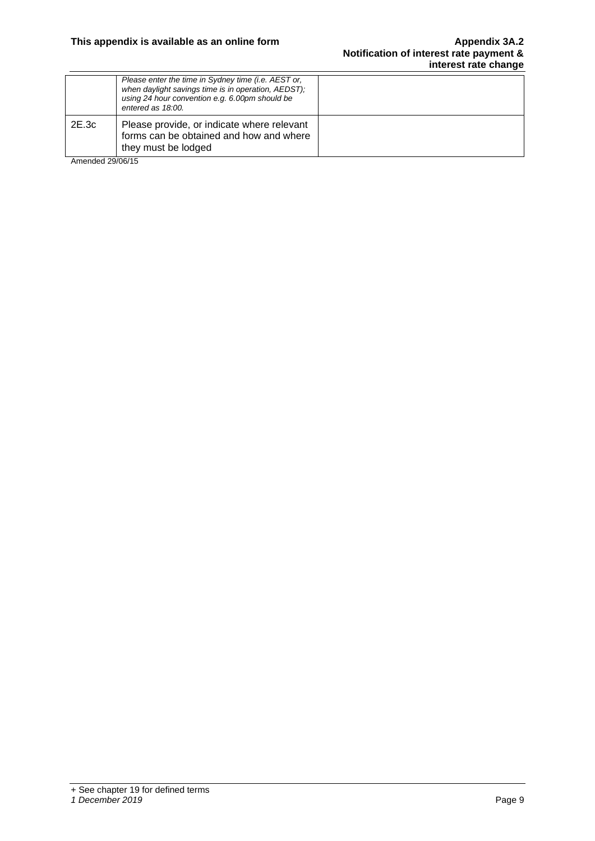|       | Please enter the time in Sydney time (i.e. AEST or,<br>when daylight savings time is in operation, AEDST);<br>using 24 hour convention e.g. 6.00pm should be<br>entered as 18:00. |  |
|-------|-----------------------------------------------------------------------------------------------------------------------------------------------------------------------------------|--|
| 2E.3c | Please provide, or indicate where relevant<br>forms can be obtained and how and where<br>they must be lodged                                                                      |  |

Amended 29/06/15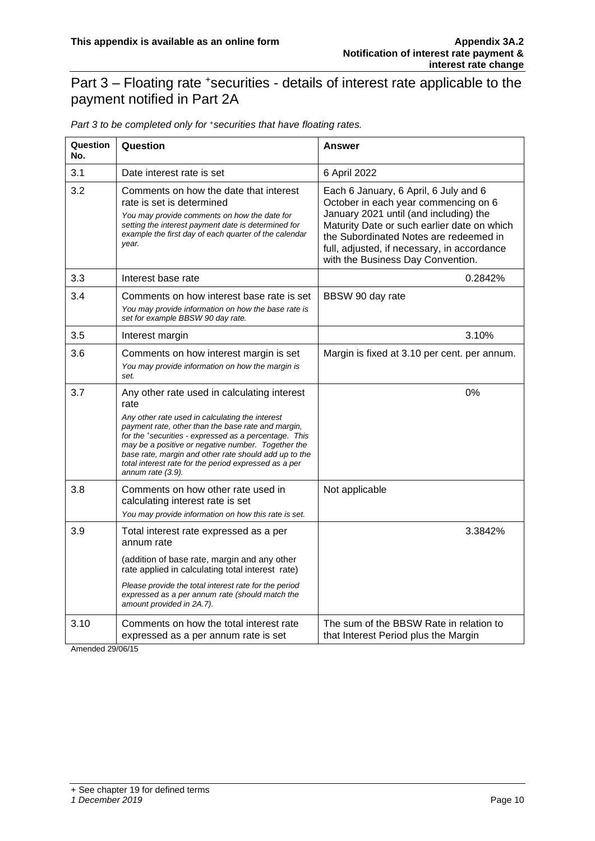#### Part 3 – Floating rate <sup>+</sup>securities - details of interest rate applicable to the payment notified in Part 2A

| Question<br>No. | Question                                                                                                                                                                                                                                                                                                                                                                                                           | Answer                                                                                                                                                                                                                                                                                               |
|-----------------|--------------------------------------------------------------------------------------------------------------------------------------------------------------------------------------------------------------------------------------------------------------------------------------------------------------------------------------------------------------------------------------------------------------------|------------------------------------------------------------------------------------------------------------------------------------------------------------------------------------------------------------------------------------------------------------------------------------------------------|
| 3.1             | Date interest rate is set                                                                                                                                                                                                                                                                                                                                                                                          | 6 April 2022                                                                                                                                                                                                                                                                                         |
| 3.2             | Comments on how the date that interest<br>rate is set is determined<br>You may provide comments on how the date for<br>setting the interest payment date is determined for<br>example the first day of each quarter of the calendar<br>year.                                                                                                                                                                       | Each 6 January, 6 April, 6 July and 6<br>October in each year commencing on 6<br>January 2021 until (and including) the<br>Maturity Date or such earlier date on which<br>the Subordinated Notes are redeemed in<br>full, adjusted, if necessary, in accordance<br>with the Business Day Convention. |
| 3.3             | Interest base rate                                                                                                                                                                                                                                                                                                                                                                                                 | 0.2842%                                                                                                                                                                                                                                                                                              |
| 3.4             | Comments on how interest base rate is set<br>You may provide information on how the base rate is<br>set for example BBSW 90 day rate.                                                                                                                                                                                                                                                                              | BBSW 90 day rate                                                                                                                                                                                                                                                                                     |
| 3.5             | Interest margin                                                                                                                                                                                                                                                                                                                                                                                                    | 3.10%                                                                                                                                                                                                                                                                                                |
| 3.6             | Comments on how interest margin is set<br>You may provide information on how the margin is<br>set.                                                                                                                                                                                                                                                                                                                 | Margin is fixed at 3.10 per cent. per annum.                                                                                                                                                                                                                                                         |
| 3.7             | Any other rate used in calculating interest<br>rate<br>Any other rate used in calculating the interest<br>payment rate, other than the base rate and margin,<br>for the *securities - expressed as a percentage. This<br>may be a positive or negative number. Together the<br>base rate, margin and other rate should add up to the<br>total interest rate for the period expressed as a per<br>annum rate (3.9). | 0%                                                                                                                                                                                                                                                                                                   |
| 3.8             | Comments on how other rate used in<br>calculating interest rate is set<br>You may provide information on how this rate is set.                                                                                                                                                                                                                                                                                     | Not applicable                                                                                                                                                                                                                                                                                       |
| 3.9             | Total interest rate expressed as a per<br>annum rate                                                                                                                                                                                                                                                                                                                                                               | 3.3842%                                                                                                                                                                                                                                                                                              |
|                 | (addition of base rate, margin and any other<br>rate applied in calculating total interest rate)                                                                                                                                                                                                                                                                                                                   |                                                                                                                                                                                                                                                                                                      |
|                 | Please provide the total interest rate for the period<br>expressed as a per annum rate (should match the<br>amount provided in 2A.7).                                                                                                                                                                                                                                                                              |                                                                                                                                                                                                                                                                                                      |
| 3.10            | Comments on how the total interest rate<br>expressed as a per annum rate is set                                                                                                                                                                                                                                                                                                                                    | The sum of the BBSW Rate in relation to<br>that Interest Period plus the Margin                                                                                                                                                                                                                      |

*Part 3 to be completed only for* <sup>+</sup>*securities that have floating rates.*

Amended 29/06/15